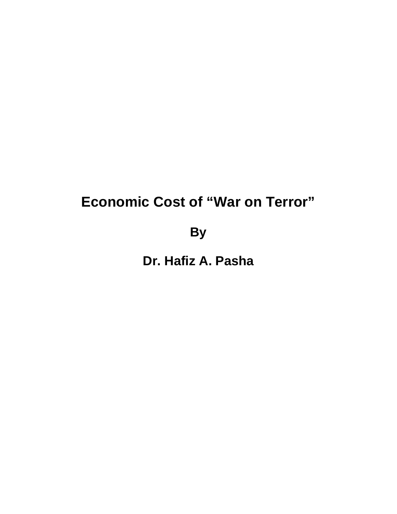# **Economic Cost of "War on Terror"**

**By**

**Dr. Hafiz A. Pasha**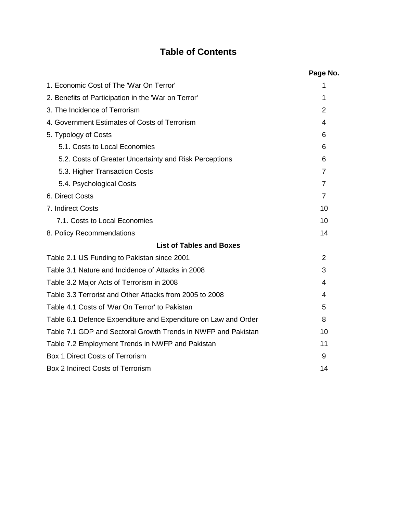## **Table of Contents**

|                                                                | Page No.       |
|----------------------------------------------------------------|----------------|
| 1. Economic Cost of The 'War On Terror'                        | 1              |
| 2. Benefits of Participation in the 'War on Terror'            | 1              |
| 3. The Incidence of Terrorism                                  | 2              |
| 4. Government Estimates of Costs of Terrorism                  | 4              |
| 5. Typology of Costs                                           | 6              |
| 5.1. Costs to Local Economies                                  | 6              |
| 5.2. Costs of Greater Uncertainty and Risk Perceptions         | 6              |
| 5.3. Higher Transaction Costs                                  | $\overline{7}$ |
| 5.4. Psychological Costs                                       | $\overline{7}$ |
| 6. Direct Costs                                                | $\overline{7}$ |
| 7. Indirect Costs                                              | 10             |
| 7.1. Costs to Local Economies                                  | 10             |
| 8. Policy Recommendations                                      | 14             |
| <b>List of Tables and Boxes</b>                                |                |
| Table 2.1 US Funding to Pakistan since 2001                    | 2              |
| Table 3.1 Nature and Incidence of Attacks in 2008              | 3              |
| Table 3.2 Major Acts of Terrorism in 2008                      | 4              |
| Table 3.3 Terrorist and Other Attacks from 2005 to 2008        | 4              |
| Table 4.1 Costs of 'War On Terror' to Pakistan                 | 5              |
| Table 6.1 Defence Expenditure and Expenditure on Law and Order | 8              |
| Table 7.1 GDP and Sectoral Growth Trends in NWFP and Pakistan  | 10             |
| Table 7.2 Employment Trends in NWFP and Pakistan               | 11             |
| <b>Box 1 Direct Costs of Terrorism</b>                         | 9              |
| Box 2 Indirect Costs of Terrorism                              | 14             |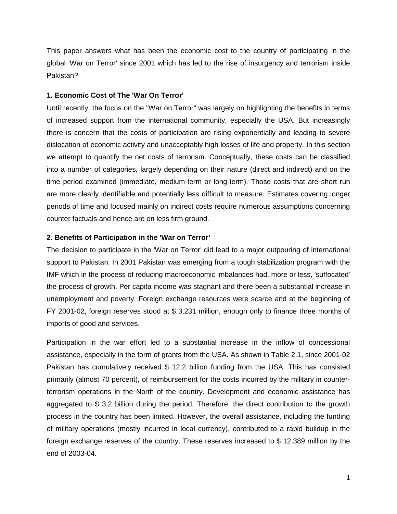This paper answers what has been the economic cost to the country of participating in the global 'War on Terror' since 2001 which has led to the rise of insurgency and terrorism inside Pakistan?

## **1. Economic Cost of The 'War On Terror'**

Until recently, the focus on the "War on Terror" was largely on highlighting the benefits in terms of increased support from the international community, especially the USA. But increasingly there is concern that the costs of participation are rising exponentially and leading to severe dislocation of economic activity and unacceptably high losses of life and property. In this section we attempt to quantify the net costs of terrorism. Conceptually, these costs can be classified into a number of categories, largely depending on their nature (direct and indirect) and on the time period examined (immediate, medium-term or long-term). Those costs that are short run are more clearly identifiable and potentially less difficult to measure. Estimates covering longer periods of time and focused mainly on indirect costs require numerous assumptions concerning counter factuals and hence are on less firm ground.

### **2. Benefits of Participation in the 'War on Terror'**

The decision to participate in the 'War on Terror' did lead to a major outpouring of international support to Pakistan. In 2001 Pakistan was emerging from a tough stabilization program with the IMF which in the process of reducing macroeconomic imbalances had, more or less, 'suffocated' the process of growth. Per capita income was stagnant and there been a substantial increase in unemployment and poverty. Foreign exchange resources were scarce and at the beginning of FY 2001-02, foreign reserves stood at \$ 3,231 million, enough only to finance three months of imports of good and services.

Participation in the war effort led to a substantial increase in the inflow of concessional assistance, especially in the form of grants from the USA. As shown in Table 2.1, since 2001-02 Pakistan has cumulatively received \$ 12.2 billion funding from the USA. This has consisted primarily (almost 70 percent), of reimbursement for the costs incurred by the military in counterterrorism operations in the North of the country. Development and economic assistance has aggregated to \$ 3.2 billion during the period. Therefore, the direct contribution to the growth process in the country has been limited. However, the overall assistance, including the funding of military operations (mostly incurred in local currency), contributed to a rapid buildup in the foreign exchange reserves of the country. These reserves increased to \$ 12,389 million by the end of 2003-04.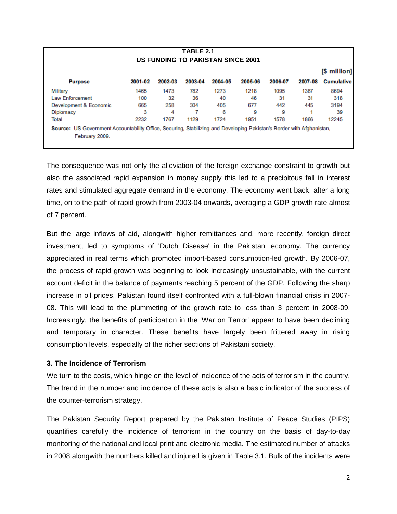| TABLE 2.1<br><b>US FUNDING TO PAKISTAN SINCE 2001</b> |         |         |         |         |         |         |         |                   |
|-------------------------------------------------------|---------|---------|---------|---------|---------|---------|---------|-------------------|
|                                                       |         |         |         |         |         |         |         | [\$ million]      |
| <b>Purpose</b>                                        | 2001-02 | 2002-03 | 2003-04 | 2004-05 | 2005-06 | 2006-07 | 2007-08 | <b>Cumulative</b> |
| Military                                              | 1465    | 1473    | 782     | 1273    | 1218    | 1095    | 1387    | 8694              |
| Law Enforcement                                       | 100     | 32      | 36      | 40      | 46      | 31      | 31      | 318               |
| Development & Economic                                | 665     | 258     | 304     | 405     | 677     | 442     | 445     | 3194              |
| <b>Diplomacy</b>                                      | 3       | 4       |         | 6       | 9       | 9       |         | 39                |
| Total                                                 | 2232    | 1767    | 1129    | 1724    | 1951    | 1578    | 1866    | 12245             |

The consequence was not only the alleviation of the foreign exchange constraint to growth but also the associated rapid expansion in money supply this led to a precipitous fall in interest rates and stimulated aggregate demand in the economy. The economy went back, after a long time, on to the path of rapid growth from 2003-04 onwards, averaging a GDP growth rate almost of 7 percent.

But the large inflows of aid, alongwith higher remittances and, more recently, foreign direct investment, led to symptoms of 'Dutch Disease' in the Pakistani economy. The currency appreciated in real terms which promoted import-based consumption-led growth. By 2006-07, the process of rapid growth was beginning to look increasingly unsustainable, with the current account deficit in the balance of payments reaching 5 percent of the GDP. Following the sharp increase in oil prices, Pakistan found itself confronted with a full-blown financial crisis in 2007- 08. This will lead to the plummeting of the growth rate to less than 3 percent in 2008-09. Increasingly, the benefits of participation in the 'War on Terror' appear to have been declining and temporary in character. These benefits have largely been frittered away in rising consumption levels, especially of the richer sections of Pakistani society.

## **3. The Incidence of Terrorism**

We turn to the costs, which hinge on the level of incidence of the acts of terrorism in the country. The trend in the number and incidence of these acts is also a basic indicator of the success of the counter-terrorism strategy.

The Pakistan Security Report prepared by the Pakistan Institute of Peace Studies (PIPS) quantifies carefully the incidence of terrorism in the country on the basis of day-to-day monitoring of the national and local print and electronic media. The estimated number of attacks in 2008 alongwith the numbers killed and injured is given in Table 3.1. Bulk of the incidents were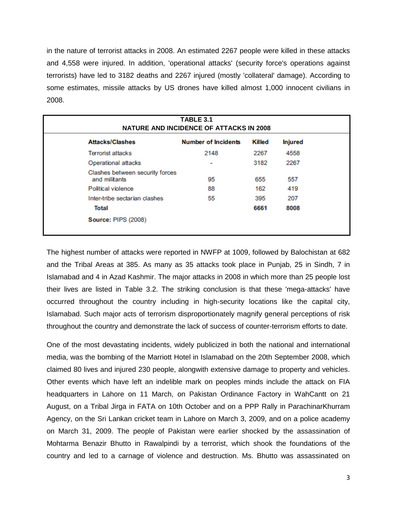in the nature of terrorist attacks in 2008. An estimated 2267 people were killed in these attacks and 4,558 were injured. In addition, 'operational attacks' (security force's operations against terrorists) have led to 3182 deaths and 2267 injured (mostly 'collateral' damage). According to some estimates, missile attacks by US drones have killed almost 1,000 innocent civilians in 2008.

| <b>Attacks/Clashes</b>                           | <b>Number of Incidents</b> | Killed | <b>Injured</b> |
|--------------------------------------------------|----------------------------|--------|----------------|
| <b>Terrorist attacks</b>                         | 2148                       | 2267   | 4558           |
| Operational attacks                              | ۰                          | 3182   | 2267           |
| Clashes between security forces<br>and militants | 95                         | 655    | 557            |
| Political violence                               | 88                         | 162    | 419            |
| Inter-tribe sectarian clashes                    | 55                         | 395    | 207            |
| Total                                            |                            | 6661   | 8008           |

The highest number of attacks were reported in NWFP at 1009, followed by Balochistan at 682 and the Tribal Areas at 385. As many as 35 attacks took place in Punjab, 25 in Sindh, 7 in Islamabad and 4 in Azad Kashmir. The major attacks in 2008 in which more than 25 people lost their lives are listed in Table 3.2. The striking conclusion is that these 'mega-attacks' have occurred throughout the country including in high-security locations like the capital city, Islamabad. Such major acts of terrorism disproportionately magnify general perceptions of risk throughout the country and demonstrate the lack of success of counter-terrorism efforts to date.

One of the most devastating incidents, widely publicized in both the national and international media, was the bombing of the Marriott Hotel in Islamabad on the 20th September 2008, which claimed 80 lives and injured 230 people, alongwith extensive damage to property and vehicles. Other events which have left an indelible mark on peoples minds include the attack on FIA headquarters in Lahore on 11 March, on Pakistan Ordinance Factory in WahCantt on 21 August, on a Tribal Jirga in FATA on 10th October and on a PPP Rally in ParachinarKhurram Agency, on the Sri Lankan cricket team in Lahore on March 3, 2009, and on a police academy on March 31, 2009. The people of Pakistan were earlier shocked by the assassination of Mohtarma Benazir Bhutto in Rawalpindi by a terrorist, which shook the foundations of the country and led to a carnage of violence and destruction. Ms. Bhutto was assassinated on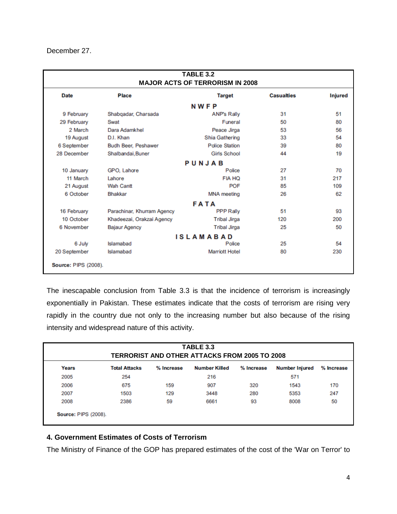December 27.

| <b>TABLE 3.2</b><br><b>MAJOR ACTS OF TERRORISM IN 2008</b> |                            |                       |                   |                |  |  |  |  |
|------------------------------------------------------------|----------------------------|-----------------------|-------------------|----------------|--|--|--|--|
| <b>Date</b>                                                | <b>Place</b>               | <b>Target</b>         | <b>Casualties</b> | <b>Injured</b> |  |  |  |  |
| <b>NWFP</b>                                                |                            |                       |                   |                |  |  |  |  |
| 9 February                                                 | Shabqadar, Charsada        | <b>ANP's Rally</b>    | 31                | 51             |  |  |  |  |
| 29 February                                                | Swat                       | Funeral               | 50                | 80             |  |  |  |  |
| 2 March                                                    | Dara Adamkhel              | Peace Jirga           | 53                | 56             |  |  |  |  |
| 19 August                                                  | D.I. Khan                  | Shia Gathering        | 33                | 54             |  |  |  |  |
| 6 September                                                | Budh Beer, Peshawer        | <b>Police Station</b> | 39                | 80             |  |  |  |  |
| 28 December                                                | Shalbandai, Buner          | <b>Girls School</b>   | 44                | 19             |  |  |  |  |
|                                                            |                            | PUNJAB                |                   |                |  |  |  |  |
| 10 January                                                 | GPO, Lahore                | Police                | 27                | 70             |  |  |  |  |
| 11 March                                                   | Lahore                     | <b>FIA HQ</b>         | 31                | 217            |  |  |  |  |
| 21 August                                                  | <b>Wah Cantt</b>           | <b>POF</b>            | 85                | 109            |  |  |  |  |
| 6 October                                                  | <b>Bhakkar</b>             | <b>MNA</b> meeting    | 26                | 62             |  |  |  |  |
|                                                            |                            | <b>FATA</b>           |                   |                |  |  |  |  |
| 16 February                                                | Parachinar, Khurram Agency | <b>PPP Rally</b>      | 51                | 93             |  |  |  |  |
| 10 October                                                 | Khadeezai, Orakzai Agency  | <b>Tribal Jirga</b>   | 120               | 200            |  |  |  |  |
| 6 November                                                 | <b>Bajaur Agency</b>       | <b>Tribal Jirga</b>   | 25                | 50             |  |  |  |  |
|                                                            |                            | <b>ISLAMABAD</b>      |                   |                |  |  |  |  |
| 6 July                                                     | Islamabad                  | Police                | 25                | 54             |  |  |  |  |
| 20 September                                               | Islamabad                  | <b>Marriott Hotel</b> | 80                | 230            |  |  |  |  |
| <b>Source: PIPS (2008).</b>                                |                            |                       |                   |                |  |  |  |  |

The inescapable conclusion from Table 3.3 is that the incidence of terrorism is increasingly exponentially in Pakistan. These estimates indicate that the costs of terrorism are rising very rapidly in the country due not only to the increasing number but also because of the rising intensity and widespread nature of this activity.

| <b>TABLE 3.3</b><br><b>TERRORIST AND OTHER ATTACKS FROM 2005 TO 2008</b> |                      |            |                      |            |                |            |  |
|--------------------------------------------------------------------------|----------------------|------------|----------------------|------------|----------------|------------|--|
| Years                                                                    | <b>Total Attacks</b> | % Increase | <b>Number Killed</b> | % Increase | Number Injured | % Increase |  |
| 2005                                                                     | 254                  |            | 216                  |            | 571            |            |  |
| 2006                                                                     | 675                  | 159        | 907                  | 320        | 1543           | 170        |  |
| 2007                                                                     | 1503                 | 129        | 3448                 | 280        | 5353           | 247        |  |
| 2008                                                                     | 2386                 | 59         | 6661                 | 93         | 8008           | 50         |  |

## **4. Government Estimates of Costs of Terrorism**

The Ministry of Finance of the GOP has prepared estimates of the cost of the 'War on Terror' to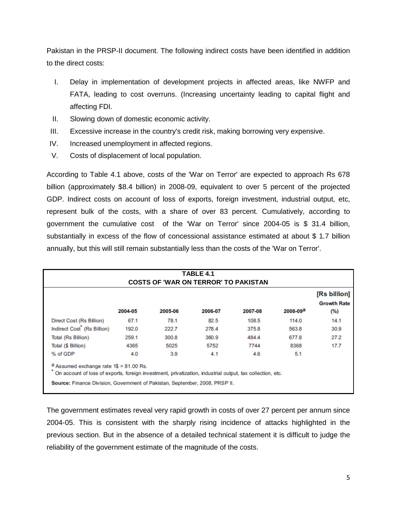Pakistan in the PRSP-II document. The following indirect costs have been identified in addition to the direct costs:

- I. Delay in implementation of development projects in affected areas, like NWFP and FATA, leading to cost overruns. (Increasing uncertainty leading to capital flight and affecting FDI.
- II. Slowing down of domestic economic activity.
- III. Excessive increase in the country's credit risk, making borrowing very expensive.
- IV. Increased unemployment in affected regions.
- V. Costs of displacement of local population.

According to Table 4.1 above, costs of the 'War on Terror' are expected to approach Rs 678 billion (approximately \$8.4 billion) in 2008-09, equivalent to over 5 percent of the projected GDP. Indirect costs on account of loss of exports, foreign investment, industrial output, etc, represent bulk of the costs, with a share of over 83 percent. Cumulatively, according to government the cumulative cost of the 'War on Terror' since 2004-05 is \$ 31.4 billion, substantially in excess of the flow of concessional assistance estimated at about \$ 1.7 billion annually, but this will still remain substantially less than the costs of the 'War on Terror'.

| TABLE 4.1<br><b>COSTS OF 'WAR ON TERROR' TO PAKISTAN</b> |         |         |         |         |              |                                           |  |
|----------------------------------------------------------|---------|---------|---------|---------|--------------|-------------------------------------------|--|
|                                                          | 2004-05 | 2005-06 | 2006-07 | 2007-08 | $2008 - 09a$ | [Rs billion]<br><b>Growth Rate</b><br>(%) |  |
| Direct Cost (Rs Billion)                                 | 67.1    | 78.1    | 82.5    | 108.5   | 114.0        | 14.1                                      |  |
| Indirect Cost <sup>*</sup> (Rs Billion)                  | 192.0   | 222.7   | 278.4   | 375.8   | 563.8        | 30.9                                      |  |
| Total (Rs Billion)                                       | 259.1   | 300.8   | 360.9   | 484.4   | 677.8        | 27.2                                      |  |
| Total (\$ Billion)                                       | 4365    | 5025    | 5752    | 7744    | 8368         | 17.7                                      |  |
| % of GDP                                                 | 4.0     | 3.9     | 4.1     | 4.6     | 5.1          |                                           |  |

The government estimates reveal very rapid growth in costs of over 27 percent per annum since 2004-05. This is consistent with the sharply rising incidence of attacks highlighted in the previous section. But in the absence of a detailed technical statement it is difficult to judge the reliability of the government estimate of the magnitude of the costs.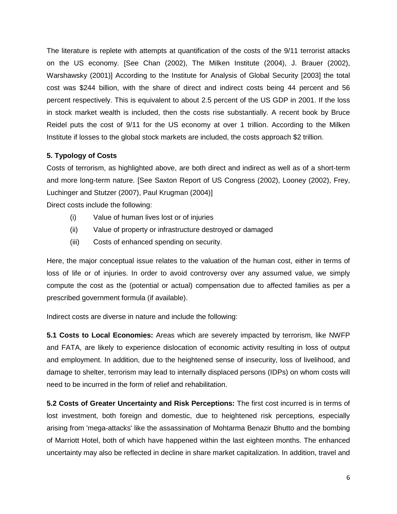The literature is replete with attempts at quantification of the costs of the 9/11 terrorist attacks on the US economy. [See Chan (2002), The Milken Institute (2004), J. Brauer (2002), Warshawsky (2001)] According to the Institute for Analysis of Global Security [2003] the total cost was \$244 billion, with the share of direct and indirect costs being 44 percent and 56 percent respectively. This is equivalent to about 2.5 percent of the US GDP in 2001. If the loss in stock market wealth is included, then the costs rise substantially. A recent book by Bruce Reidel puts the cost of 9/11 for the US economy at over 1 trillion. According to the Milken Institute if losses to the global stock markets are included, the costs approach \$2 trillion.

## **5. Typology of Costs**

Costs of terrorism, as highlighted above, are both direct and indirect as well as of a short-term and more long-term nature. [See Saxton Report of US Congress (2002), Looney (2002), Frey, Luchinger and Stutzer (2007), Paul Krugman (2004)]

Direct costs include the following:

- (i) Value of human lives lost or of injuries
- (ii) Value of property or infrastructure destroyed or damaged
- (iii) Costs of enhanced spending on security.

Here, the major conceptual issue relates to the valuation of the human cost, either in terms of loss of life or of injuries. In order to avoid controversy over any assumed value, we simply compute the cost as the (potential or actual) compensation due to affected families as per a prescribed government formula (if available).

Indirect costs are diverse in nature and include the following:

**5.1 Costs to Local Economies:** Areas which are severely impacted by terrorism, like NWFP and FATA, are likely to experience dislocation of economic activity resulting in loss of output and employment. In addition, due to the heightened sense of insecurity, loss of livelihood, and damage to shelter, terrorism may lead to internally displaced persons (IDPs) on whom costs will need to be incurred in the form of relief and rehabilitation.

**5.2 Costs of Greater Uncertainty and Risk Perceptions:** The first cost incurred is in terms of lost investment, both foreign and domestic, due to heightened risk perceptions, especially arising from 'mega-attacks' like the assassination of Mohtarma Benazir Bhutto and the bombing of Marriott Hotel, both of which have happened within the last eighteen months. The enhanced uncertainty may also be reflected in decline in share market capitalization. In addition, travel and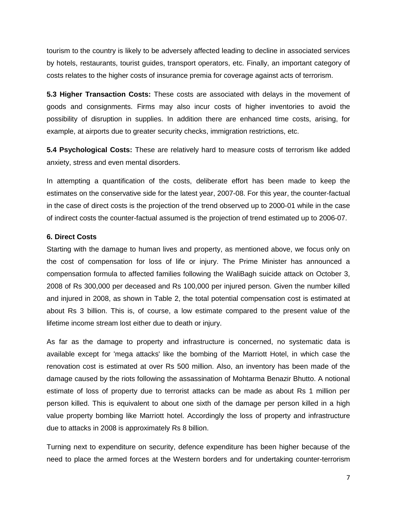tourism to the country is likely to be adversely affected leading to decline in associated services by hotels, restaurants, tourist guides, transport operators, etc. Finally, an important category of costs relates to the higher costs of insurance premia for coverage against acts of terrorism.

**5.3 Higher Transaction Costs:** These costs are associated with delays in the movement of goods and consignments. Firms may also incur costs of higher inventories to avoid the possibility of disruption in supplies. In addition there are enhanced time costs, arising, for example, at airports due to greater security checks, immigration restrictions, etc.

**5.4 Psychological Costs:** These are relatively hard to measure costs of terrorism like added anxiety, stress and even mental disorders.

In attempting a quantification of the costs, deliberate effort has been made to keep the estimates on the conservative side for the latest year, 2007-08. For this year, the counter-factual in the case of direct costs is the projection of the trend observed up to 2000-01 while in the case of indirect costs the counter-factual assumed is the projection of trend estimated up to 2006-07.

## **6. Direct Costs**

Starting with the damage to human lives and property, as mentioned above, we focus only on the cost of compensation for loss of life or injury. The Prime Minister has announced a compensation formula to affected families following the WaliBagh suicide attack on October 3, 2008 of Rs 300,000 per deceased and Rs 100,000 per injured person. Given the number killed and injured in 2008, as shown in Table 2, the total potential compensation cost is estimated at about Rs 3 billion. This is, of course, a low estimate compared to the present value of the lifetime income stream lost either due to death or injury.

As far as the damage to property and infrastructure is concerned, no systematic data is available except for 'mega attacks' like the bombing of the Marriott Hotel, in which case the renovation cost is estimated at over Rs 500 million. Also, an inventory has been made of the damage caused by the riots following the assassination of Mohtarma Benazir Bhutto. A notional estimate of loss of property due to terrorist attacks can be made as about Rs 1 million per person killed. This is equivalent to about one sixth of the damage per person killed in a high value property bombing like Marriott hotel. Accordingly the loss of property and infrastructure due to attacks in 2008 is approximately Rs 8 billion.

Turning next to expenditure on security, defence expenditure has been higher because of the need to place the armed forces at the Western borders and for undertaking counter-terrorism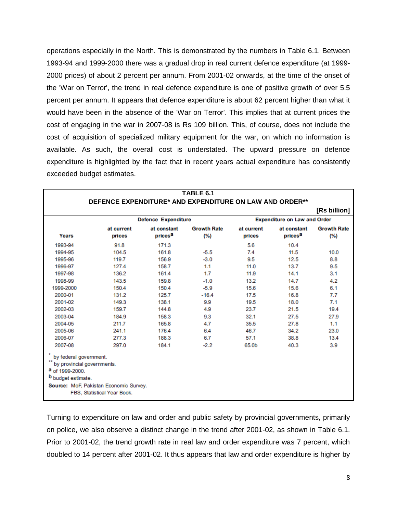operations especially in the North. This is demonstrated by the numbers in Table 6.1. Between 1993-94 and 1999-2000 there was a gradual drop in real current defence expenditure (at 1999- 2000 prices) of about 2 percent per annum. From 2001-02 onwards, at the time of the onset of the 'War on Terror', the trend in real defence expenditure is one of positive growth of over 5.5 percent per annum. It appears that defence expenditure is about 62 percent higher than what it would have been in the absence of the 'War on Terror'. This implies that at current prices the cost of engaging in the war in 2007-08 is Rs 109 billion. This, of course, does not include the cost of acquisition of specialized military equipment for the war, on which no information is available. As such, the overall cost is understated. The upward pressure on defence expenditure is highlighted by the fact that in recent years actual expenditure has consistently exceeded budget estimates.

| TABLE 6.1<br>DEFENCE EXPENDITURE* AND EXPENDITURE ON LAW AND ORDER**                                 |                                                                       |                                    |                           |                      |                                    |                           |  |
|------------------------------------------------------------------------------------------------------|-----------------------------------------------------------------------|------------------------------------|---------------------------|----------------------|------------------------------------|---------------------------|--|
|                                                                                                      |                                                                       |                                    |                           |                      |                                    | [Rs billion]              |  |
|                                                                                                      | <b>Defence Expenditure</b><br><b>Expenditure on Law and Order</b>     |                                    |                           |                      |                                    |                           |  |
| Years                                                                                                | at current<br>prices                                                  | at constant<br>prices <sup>a</sup> | <b>Growth Rate</b><br>(%) | at current<br>prices | at constant<br>prices <sup>a</sup> | <b>Growth Rate</b><br>(%) |  |
| 1993-94                                                                                              | 91.8                                                                  | 171.3                              |                           | 5.6                  | 10.4                               |                           |  |
| 1994-95                                                                                              | 104.5                                                                 | 161.8                              | $-5.5$                    | 7.4                  | 11.5                               | 10.0                      |  |
| 1995-96                                                                                              | 119.7                                                                 | 156.9                              | $-3.0$                    | 9.5                  | 12.5                               | 8.8                       |  |
| 1996-97                                                                                              | 127.4                                                                 | 158.7                              | 1.1                       | 11.0                 | 13.7                               | 9.5                       |  |
| 1997-98                                                                                              | 136.2                                                                 | 161.4                              | 1.7                       | 11.9                 | 14.1                               | 3.1                       |  |
| 1998-99                                                                                              | 143.5                                                                 | 159.8                              | $-1.0$                    | 13.2                 | 14.7                               | 4.2                       |  |
| 1999-2000                                                                                            | 150.4                                                                 | 150.4                              | $-5.9$                    | 15.6                 | 15.6                               | 6.1                       |  |
| 2000-01                                                                                              | 131.2                                                                 | 125.7                              | $-16.4$                   | 17.5                 | 16.8                               | 7.7                       |  |
| 2001-02                                                                                              | 149.3                                                                 | 138.1                              | 9.9                       | 19.5                 | 18.0                               | 7.1                       |  |
| 2002-03                                                                                              | 159.7                                                                 | 144.8                              | 4.9                       | 23.7                 | 21.5                               | 19.4                      |  |
| 2003-04                                                                                              | 184.9                                                                 | 158.3                              | 9.3                       | 32.1                 | 27.5                               | 27.9                      |  |
| 2004-05                                                                                              | 211.7                                                                 | 165.8                              | 4.7                       | 35.5                 | 27.8                               | 1.1                       |  |
| 2005-06                                                                                              | 241.1                                                                 | 176.4                              | 6.4                       | 46.7                 | 34.2                               | 23.0                      |  |
| 2006-07                                                                                              | 277.3                                                                 | 188.3                              | 6.7                       | 57.1                 | 38.8                               | 13.4                      |  |
| 2007-08                                                                                              | 297.0                                                                 | 184.1                              | $-2.2$                    | 65.0b                | 40.3                               | 3.9                       |  |
| by federal government.<br>by provincial governments.<br>a of 1999-2000.<br><b>b</b> budget estimate. | Source: MoF, Pakistan Economic Survey.<br>FBS, Statistical Year Book. |                                    |                           |                      |                                    |                           |  |

Turning to expenditure on law and order and public safety by provincial governments, primarily on police, we also observe a distinct change in the trend after 2001-02, as shown in Table 6.1. Prior to 2001-02, the trend growth rate in real law and order expenditure was 7 percent, which doubled to 14 percent after 2001-02. It thus appears that law and order expenditure is higher by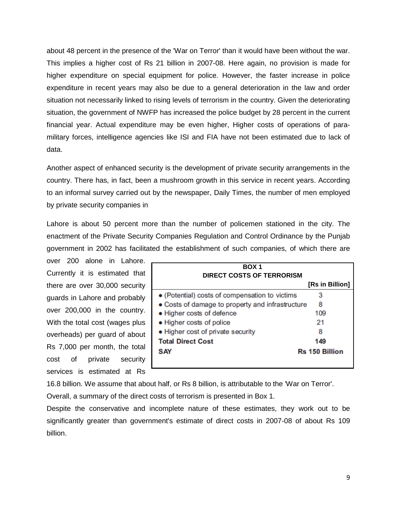about 48 percent in the presence of the 'War on Terror' than it would have been without the war. This implies a higher cost of Rs 21 billion in 2007-08. Here again, no provision is made for higher expenditure on special equipment for police. However, the faster increase in police expenditure in recent years may also be due to a general deterioration in the law and order situation not necessarily linked to rising levels of terrorism in the country. Given the deteriorating situation, the government of NWFP has increased the police budget by 28 percent in the current financial year. Actual expenditure may be even higher, Higher costs of operations of paramilitary forces, intelligence agencies like ISI and FIA have not been estimated due to lack of data.

Another aspect of enhanced security is the development of private security arrangements in the country. There has, in fact, been a mushroom growth in this service in recent years. According to an informal survey carried out by the newspaper, Daily Times, the number of men employed by private security companies in

Lahore is about 50 percent more than the number of policemen stationed in the city. The enactment of the Private Security Companies Regulation and Control Ordinance by the Punjab government in 2002 has facilitated the establishment of such companies, of which there are

over 200 alone in Lahore. Currently it is estimated that there are over 30,000 security guards in Lahore and probably over 200,000 in the country. With the total cost (wages plus overheads) per guard of about Rs 7,000 per month, the total cost of private security services is estimated at Rs

| BOX <sub>1</sub>                                 |                       |
|--------------------------------------------------|-----------------------|
| DIRECT COSTS OF TERRORISM                        |                       |
|                                                  | [Rs in Billion]       |
| • (Potential) costs of compensation to victims   | з                     |
| • Costs of damage to property and infrastructure | 8                     |
| • Higher costs of defence                        | 109                   |
| • Higher costs of police                         | 21                    |
| • Higher cost of private security                | 8                     |
| <b>Total Direct Cost</b>                         | 149                   |
| <b>SAY</b>                                       | <b>Rs 150 Billion</b> |
|                                                  |                       |

16.8 billion. We assume that about half, or Rs 8 billion, is attributable to the 'War on Terror'.

Overall, a summary of the direct costs of terrorism is presented in Box 1.

Despite the conservative and incomplete nature of these estimates, they work out to be significantly greater than government's estimate of direct costs in 2007-08 of about Rs 109 billion.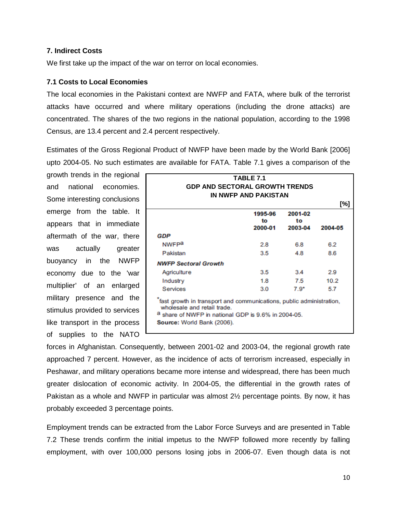## **7. Indirect Costs**

We first take up the impact of the war on terror on local economies.

## **7.1 Costs to Local Economies**

The local economies in the Pakistani context are NWFP and FATA, where bulk of the terrorist attacks have occurred and where military operations (including the drone attacks) are concentrated. The shares of the two regions in the national population, according to the 1998 Census, are 13.4 percent and 2.4 percent respectively.

Estimates of the Gross Regional Product of NWFP have been made by the World Bank [2006] upto 2004-05. No such estimates are available for FATA. Table 7.1 gives a comparison of the

growth trends in the regional and national economies. Some interesting conclusions emerge from the table. It appears that in immediate aftermath of the war, there was actually greater buoyancy in the NWFP economy due to the 'war multiplier' of an enlarged military presence and the stimulus provided to services like transport in the process of supplies to the NATO

| TABLE 7.1<br><b>GDP AND SECTORAL GROWTH TRENDS</b><br>IN NWFP AND PAKISTAN |                                                                                                                            |                          |         |  |  |  |
|----------------------------------------------------------------------------|----------------------------------------------------------------------------------------------------------------------------|--------------------------|---------|--|--|--|
|                                                                            |                                                                                                                            |                          | [%]     |  |  |  |
|                                                                            | 1995-96<br>to<br>2000-01                                                                                                   | 2001-02<br>to<br>2003-04 | 2004-05 |  |  |  |
| GDP                                                                        |                                                                                                                            |                          |         |  |  |  |
| <b>NWFPa</b>                                                               | 2.8                                                                                                                        | 6.8                      | 6.2     |  |  |  |
| Pakistan                                                                   | 3.5                                                                                                                        | 4.8                      | 8.6     |  |  |  |
| <b>NWFP Sectoral Growth</b>                                                |                                                                                                                            |                          |         |  |  |  |
| Agriculture                                                                | 3.5                                                                                                                        | 3.4                      | 2.9     |  |  |  |
| Industry                                                                   | 1.8                                                                                                                        | 7.5                      | 10.2    |  |  |  |
| Services                                                                   | 3.0                                                                                                                        | $7.9*$                   | 5.7     |  |  |  |
| wholesale and retail trade.<br>Source: World Bank (2006).                  | fast growth in transport and communications, public administration,<br>a share of NWFP in national GDP is 9.6% in 2004-05. |                          |         |  |  |  |

forces in Afghanistan. Consequently, between 2001-02 and 2003-04, the regional growth rate approached 7 percent. However, as the incidence of acts of terrorism increased, especially in Peshawar, and military operations became more intense and widespread, there has been much greater dislocation of economic activity. In 2004-05, the differential in the growth rates of Pakistan as a whole and NWFP in particular was almost 2½ percentage points. By now, it has probably exceeded 3 percentage points.

Employment trends can be extracted from the Labor Force Surveys and are presented in Table 7.2 These trends confirm the initial impetus to the NWFP followed more recently by falling employment, with over 100,000 persons losing jobs in 2006-07. Even though data is not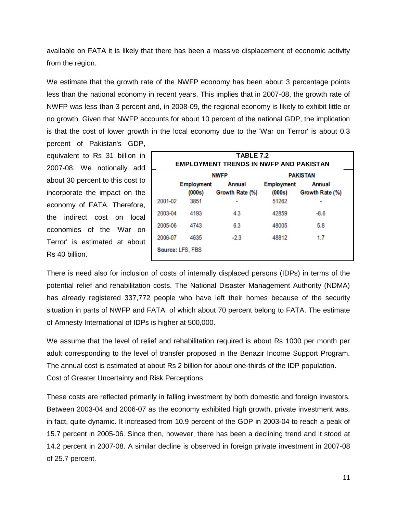available on FATA it is likely that there has been a massive displacement of economic activity from the region.

We estimate that the growth rate of the NWFP economy has been about 3 percentage points less than the national economy in recent years. This implies that in 2007-08, the growth rate of NWFP was less than 3 percent and, in 2008-09, the regional economy is likely to exhibit little or no growth. Given that NWFP accounts for about 10 percent of the national GDP, the implication is that the cost of lower growth in the local economy due to the 'War on Terror' is about 0.3 percent of Pakistan's GDP,

equivalent to Rs 31 billion in 2007-08. We notionally add about 30 percent to this cost to incorporate the impact on the economy of FATA. Therefore, the indirect cost on local economies of the 'War on Terror' is estimated at about Rs 40 billion.

|         | <b>TABLE 7.2</b><br><b>EMPLOYMENT TRENDS IN NWFP AND PAKISTAN</b> |                                  |                             |                                  |  |  |  |  |
|---------|-------------------------------------------------------------------|----------------------------------|-----------------------------|----------------------------------|--|--|--|--|
|         |                                                                   | <b>NWFP</b>                      | <b>PAKISTAN</b>             |                                  |  |  |  |  |
|         | <b>Employment</b><br>(000s)                                       | <b>Annual</b><br>Growth Rate (%) | <b>Employment</b><br>(000s) | <b>Annual</b><br>Growth Rate (%) |  |  |  |  |
| 2001-02 | 3851                                                              |                                  | 51262                       |                                  |  |  |  |  |
| 2003-04 | 4193                                                              | 4.3                              | 42859                       | $-8.6$                           |  |  |  |  |
| 2005-06 | 4743                                                              | 6.3                              | 48005                       | 5.8                              |  |  |  |  |
| 2006-07 | 4635                                                              | $-2.3$                           | 48812                       | 1.7                              |  |  |  |  |
|         | Source: LFS, FBS                                                  |                                  |                             |                                  |  |  |  |  |

There is need also for inclusion of costs of internally displaced persons (IDPs) in terms of the potential relief and rehabilitation costs. The National Disaster Management Authority (NDMA) has already registered 337,772 people who have left their homes because of the security situation in parts of NWFP and FATA, of which about 70 percent belong to FATA. The estimate of Amnesty International of IDPs is higher at 500,000.

We assume that the level of relief and rehabilitation required is about Rs 1000 per month per adult corresponding to the level of transfer proposed in the Benazir Income Support Program. The annual cost is estimated at about Rs 2 billion for about one-thirds of the IDP population. Cost of Greater Uncertainty and Risk Perceptions

These costs are reflected primarily in falling investment by both domestic and foreign investors. Between 2003-04 and 2006-07 as the economy exhibited high growth, private investment was, in fact, quite dynamic. It increased from 10.9 percent of the GDP in 2003-04 to reach a peak of 15.7 percent in 2005-06. Since then, however, there has been a declining trend and it stood at 14.2 percent in 2007-08. A similar decline is observed in foreign private investment in 2007-08 of 25.7 percent.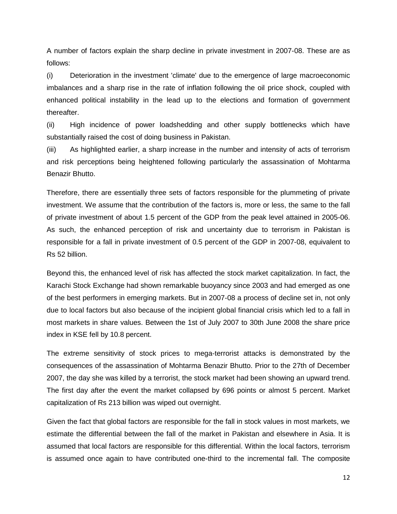A number of factors explain the sharp decline in private investment in 2007-08. These are as follows:

(i) Deterioration in the investment 'climate' due to the emergence of large macroeconomic imbalances and a sharp rise in the rate of inflation following the oil price shock, coupled with enhanced political instability in the lead up to the elections and formation of government thereafter.

(ii) High incidence of power loadshedding and other supply bottlenecks which have substantially raised the cost of doing business in Pakistan.

(iii) As highlighted earlier, a sharp increase in the number and intensity of acts of terrorism and risk perceptions being heightened following particularly the assassination of Mohtarma Benazir Bhutto.

Therefore, there are essentially three sets of factors responsible for the plummeting of private investment. We assume that the contribution of the factors is, more or less, the same to the fall of private investment of about 1.5 percent of the GDP from the peak level attained in 2005-06. As such, the enhanced perception of risk and uncertainty due to terrorism in Pakistan is responsible for a fall in private investment of 0.5 percent of the GDP in 2007-08, equivalent to Rs 52 billion.

Beyond this, the enhanced level of risk has affected the stock market capitalization. In fact, the Karachi Stock Exchange had shown remarkable buoyancy since 2003 and had emerged as one of the best performers in emerging markets. But in 2007-08 a process of decline set in, not only due to local factors but also because of the incipient global financial crisis which led to a fall in most markets in share values. Between the 1st of July 2007 to 30th June 2008 the share price index in KSE fell by 10.8 percent.

The extreme sensitivity of stock prices to mega-terrorist attacks is demonstrated by the consequences of the assassination of Mohtarma Benazir Bhutto. Prior to the 27th of December 2007, the day she was killed by a terrorist, the stock market had been showing an upward trend. The first day after the event the market collapsed by 696 points or almost 5 percent. Market capitalization of Rs 213 billion was wiped out overnight.

Given the fact that global factors are responsible for the fall in stock values in most markets, we estimate the differential between the fall of the market in Pakistan and elsewhere in Asia. It is assumed that local factors are responsible for this differential. Within the local factors, terrorism is assumed once again to have contributed one-third to the incremental fall. The composite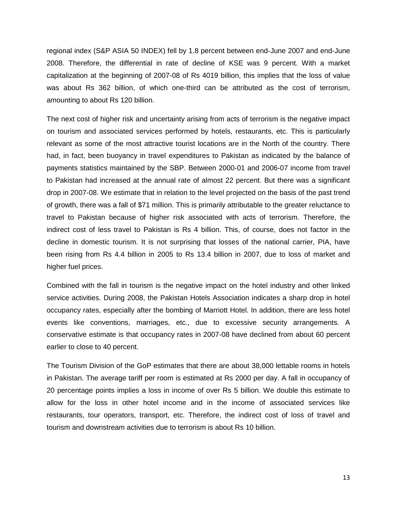regional index (S&P ASIA 50 INDEX) fell by 1.8 percent between end-June 2007 and end-June 2008. Therefore, the differential in rate of decline of KSE was 9 percent. With a market capitalization at the beginning of 2007-08 of Rs 4019 billion, this implies that the loss of value was about Rs 362 billion, of which one-third can be attributed as the cost of terrorism, amounting to about Rs 120 billion.

The next cost of higher risk and uncertainty arising from acts of terrorism is the negative impact on tourism and associated services performed by hotels, restaurants, etc. This is particularly relevant as some of the most attractive tourist locations are in the North of the country. There had, in fact, been buoyancy in travel expenditures to Pakistan as indicated by the balance of payments statistics maintained by the SBP. Between 2000-01 and 2006-07 income from travel to Pakistan had increased at the annual rate of almost 22 percent. But there was a significant drop in 2007-08. We estimate that in relation to the level projected on the basis of the past trend of growth, there was a fall of \$71 million. This is primarily attributable to the greater reluctance to travel to Pakistan because of higher risk associated with acts of terrorism. Therefore, the indirect cost of less travel to Pakistan is Rs 4 billion. This, of course, does not factor in the decline in domestic tourism. It is not surprising that losses of the national carrier, PIA, have been rising from Rs 4.4 billion in 2005 to Rs 13.4 billion in 2007, due to loss of market and higher fuel prices.

Combined with the fall in tourism is the negative impact on the hotel industry and other linked service activities. During 2008, the Pakistan Hotels Association indicates a sharp drop in hotel occupancy rates, especially after the bombing of Marriott Hotel. In addition, there are less hotel events like conventions, marriages, etc., due to excessive security arrangements. A conservative estimate is that occupancy rates in 2007-08 have declined from about 60 percent earlier to close to 40 percent.

The Tourism Division of the GoP estimates that there are about 38,000 lettable rooms in hotels in Pakistan. The average tariff per room is estimated at Rs 2000 per day. A fall in occupancy of 20 percentage points implies a loss in income of over Rs 5 billion. We double this estimate to allow for the loss in other hotel income and in the income of associated services like restaurants, tour operators, transport, etc. Therefore, the indirect cost of loss of travel and tourism and downstream activities due to terrorism is about Rs 10 billion.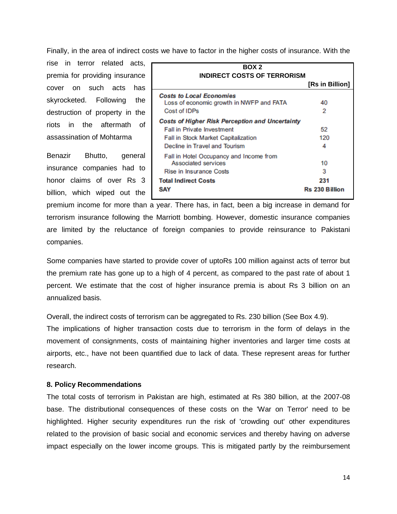Finally, in the area of indirect costs we have to factor in the higher costs of insurance. With the

rise in terror related acts, premia for providing insurance cover on such acts has skyrocketed. Following the destruction of property in the riots in the aftermath of assassination of Mohtarma

Benazir Bhutto, general insurance companies had to honor claims of over Rs 3 billion, which wiped out the

| BOX 2                                                                                                                                                               |                                         |  |  |  |
|---------------------------------------------------------------------------------------------------------------------------------------------------------------------|-----------------------------------------|--|--|--|
| <b>INDIRECT COSTS OF TERRORISM</b>                                                                                                                                  | [Rs in Billion]                         |  |  |  |
| <b>Costs to Local Economies</b><br>Loss of economic growth in NWFP and FATA<br>Cost of IDPs                                                                         | 40<br>2                                 |  |  |  |
| <b>Costs of Higher Risk Perception and Uncertainty</b><br><b>Fall in Private Investment</b><br>Fall in Stock Market Capitalization<br>Decline in Travel and Tourism | 52<br>120<br>4                          |  |  |  |
| Fall in Hotel Occupancy and Income from<br>Associated services<br><b>Rise in Insurance Costs</b><br><b>Total Indirect Costs</b><br><b>SAY</b>                       | 10<br>3<br>231<br><b>Rs 230 Billion</b> |  |  |  |

premium income for more than a year. There has, in fact, been a big increase in demand for terrorism insurance following the Marriott bombing. However, domestic insurance companies are limited by the reluctance of foreign companies to provide reinsurance to Pakistani companies.

Some companies have started to provide cover of uptoRs 100 million against acts of terror but the premium rate has gone up to a high of 4 percent, as compared to the past rate of about 1 percent. We estimate that the cost of higher insurance premia is about Rs 3 billion on an annualized basis.

Overall, the indirect costs of terrorism can be aggregated to Rs. 230 billion (See Box 4.9).

The implications of higher transaction costs due to terrorism in the form of delays in the movement of consignments, costs of maintaining higher inventories and larger time costs at airports, etc., have not been quantified due to lack of data. These represent areas for further research.

#### **8. Policy Recommendations**

The total costs of terrorism in Pakistan are high, estimated at Rs 380 billion, at the 2007-08 base. The distributional consequences of these costs on the 'War on Terror' need to be highlighted. Higher security expenditures run the risk of 'crowding out' other expenditures related to the provision of basic social and economic services and thereby having on adverse impact especially on the lower income groups. This is mitigated partly by the reimbursement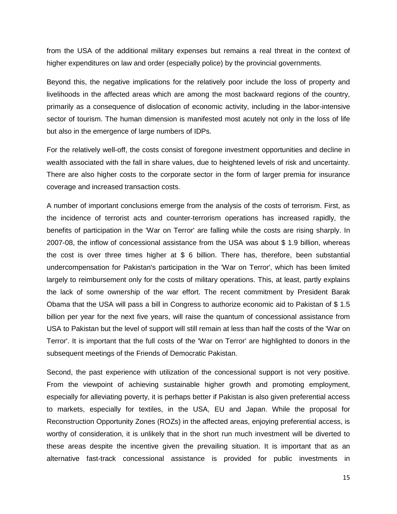from the USA of the additional military expenses but remains a real threat in the context of higher expenditures on law and order (especially police) by the provincial governments.

Beyond this, the negative implications for the relatively poor include the loss of property and livelihoods in the affected areas which are among the most backward regions of the country, primarily as a consequence of dislocation of economic activity, including in the labor-intensive sector of tourism. The human dimension is manifested most acutely not only in the loss of life but also in the emergence of large numbers of IDPs.

For the relatively well-off, the costs consist of foregone investment opportunities and decline in wealth associated with the fall in share values, due to heightened levels of risk and uncertainty. There are also higher costs to the corporate sector in the form of larger premia for insurance coverage and increased transaction costs.

A number of important conclusions emerge from the analysis of the costs of terrorism. First, as the incidence of terrorist acts and counter-terrorism operations has increased rapidly, the benefits of participation in the 'War on Terror' are falling while the costs are rising sharply. In 2007-08, the inflow of concessional assistance from the USA was about \$ 1.9 billion, whereas the cost is over three times higher at \$ 6 billion. There has, therefore, been substantial undercompensation for Pakistan's participation in the 'War on Terror', which has been limited largely to reimbursement only for the costs of military operations. This, at least, partly explains the lack of some ownership of the war effort. The recent commitment by President Barak Obama that the USA will pass a bill in Congress to authorize economic aid to Pakistan of \$ 1.5 billion per year for the next five years, will raise the quantum of concessional assistance from USA to Pakistan but the level of support will still remain at less than half the costs of the 'War on Terror'. It is important that the full costs of the 'War on Terror' are highlighted to donors in the subsequent meetings of the Friends of Democratic Pakistan.

Second, the past experience with utilization of the concessional support is not very positive. From the viewpoint of achieving sustainable higher growth and promoting employment, especially for alleviating poverty, it is perhaps better if Pakistan is also given preferential access to markets, especially for textiles, in the USA, EU and Japan. While the proposal for Reconstruction Opportunity Zones (ROZs) in the affected areas, enjoying preferential access, is worthy of consideration, it is unlikely that in the short run much investment will be diverted to these areas despite the incentive given the prevailing situation. It is important that as an alternative fast-track concessional assistance is provided for public investments in